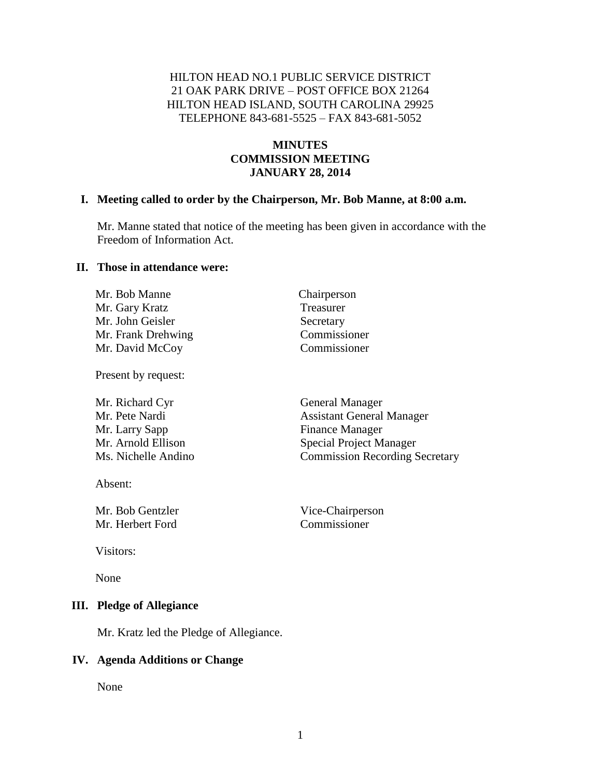## HILTON HEAD NO.1 PUBLIC SERVICE DISTRICT 21 OAK PARK DRIVE – POST OFFICE BOX 21264 HILTON HEAD ISLAND, SOUTH CAROLINA 29925 TELEPHONE 843-681-5525 – FAX 843-681-5052

## **MINUTES COMMISSION MEETING JANUARY 28, 2014**

#### **I. Meeting called to order by the Chairperson, Mr. Bob Manne, at 8:00 a.m.**

Mr. Manne stated that notice of the meeting has been given in accordance with the Freedom of Information Act.

> Chairperson **Treasurer** Secretary Commissioner Commissioner

#### **II. Those in attendance were:**

| Mr. Bob Manne      |  |
|--------------------|--|
| Mr. Gary Kratz     |  |
| Mr. John Geisler   |  |
| Mr. Frank Drehwing |  |
| Mr. David McCoy    |  |

Present by request:

Absent:

Mr. Bob Gentzler Vice-Chairperson Mr. Herbert Ford Commissioner

Visitors:

None

#### **III. Pledge of Allegiance**

Mr. Kratz led the Pledge of Allegiance.

#### **IV. Agenda Additions or Change**

None

General Manager **Assistant General Manager** Finance Manager Special Project Manager Ommission Recording Secretary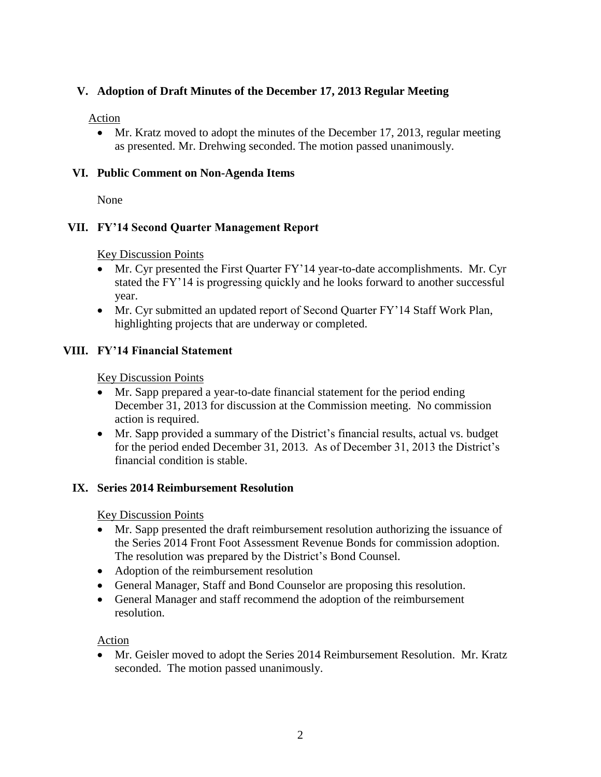# **V. Adoption of Draft Minutes of the December 17, 2013 Regular Meeting**

#### Action

• Mr. Kratz moved to adopt the minutes of the December 17, 2013, regular meeting as presented. Mr. Drehwing seconded. The motion passed unanimously.

## **VI. Public Comment on Non-Agenda Items**

None

# **VII. FY'14 Second Quarter Management Report**

Key Discussion Points

- Mr. Cyr presented the First Quarter FY'14 year-to-date accomplishments. Mr. Cyr stated the FY'14 is progressing quickly and he looks forward to another successful year.
- Mr. Cyr submitted an updated report of Second Quarter FY'14 Staff Work Plan, highlighting projects that are underway or completed.

# **VIII. FY'14 Financial Statement**

Key Discussion Points

- Mr. Sapp prepared a year-to-date financial statement for the period ending December 31, 2013 for discussion at the Commission meeting. No commission action is required.
- Mr. Sapp provided a summary of the District's financial results, actual vs. budget for the period ended December 31, 2013. As of December 31, 2013 the District's financial condition is stable.

## **IX. Series 2014 Reimbursement Resolution**

Key Discussion Points

- Mr. Sapp presented the draft reimbursement resolution authorizing the issuance of the Series 2014 Front Foot Assessment Revenue Bonds for commission adoption. The resolution was prepared by the District's Bond Counsel.
- Adoption of the reimbursement resolution
- General Manager, Staff and Bond Counselor are proposing this resolution.
- General Manager and staff recommend the adoption of the reimbursement resolution.

Action

 Mr. Geisler moved to adopt the Series 2014 Reimbursement Resolution. Mr. Kratz seconded. The motion passed unanimously.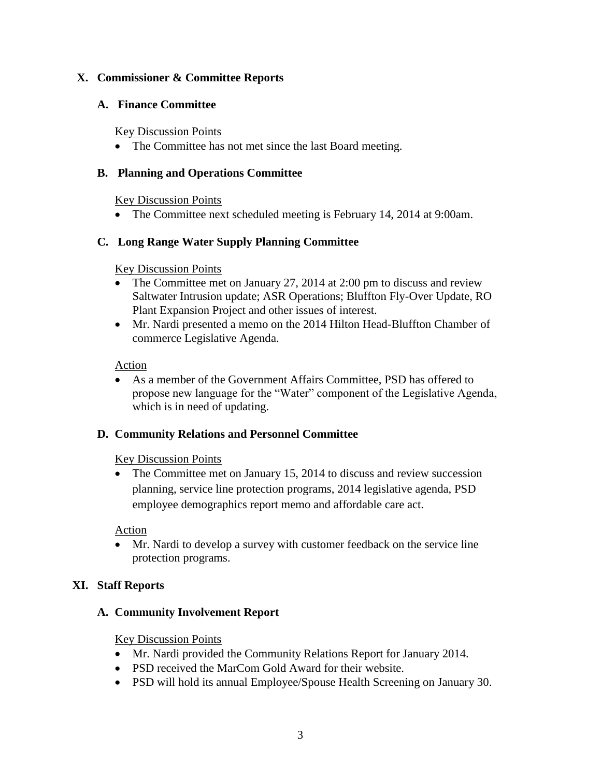## **X. Commissioner & Committee Reports**

#### **A. Finance Committee**

#### Key Discussion Points

• The Committee has not met since the last Board meeting.

#### **B. Planning and Operations Committee**

#### Key Discussion Points

• The Committee next scheduled meeting is February 14, 2014 at 9:00am.

## **C. Long Range Water Supply Planning Committee**

#### Key Discussion Points

- The Committee met on January 27, 2014 at 2:00 pm to discuss and review Saltwater Intrusion update; ASR Operations; Bluffton Fly-Over Update, RO Plant Expansion Project and other issues of interest.
- Mr. Nardi presented a memo on the 2014 Hilton Head-Bluffton Chamber of commerce Legislative Agenda.

#### Action

 As a member of the Government Affairs Committee, PSD has offered to propose new language for the "Water" component of the Legislative Agenda, which is in need of updating.

## **D. Community Relations and Personnel Committee**

## Key Discussion Points

• The Committee met on January 15, 2014 to discuss and review succession planning, service line protection programs, 2014 legislative agenda, PSD employee demographics report memo and affordable care act.

## Action

 Mr. Nardi to develop a survey with customer feedback on the service line protection programs.

## **XI. Staff Reports**

## **A. Community Involvement Report**

## Key Discussion Points

- Mr. Nardi provided the Community Relations Report for January 2014.
- PSD received the MarCom Gold Award for their website.
- PSD will hold its annual Employee/Spouse Health Screening on January 30.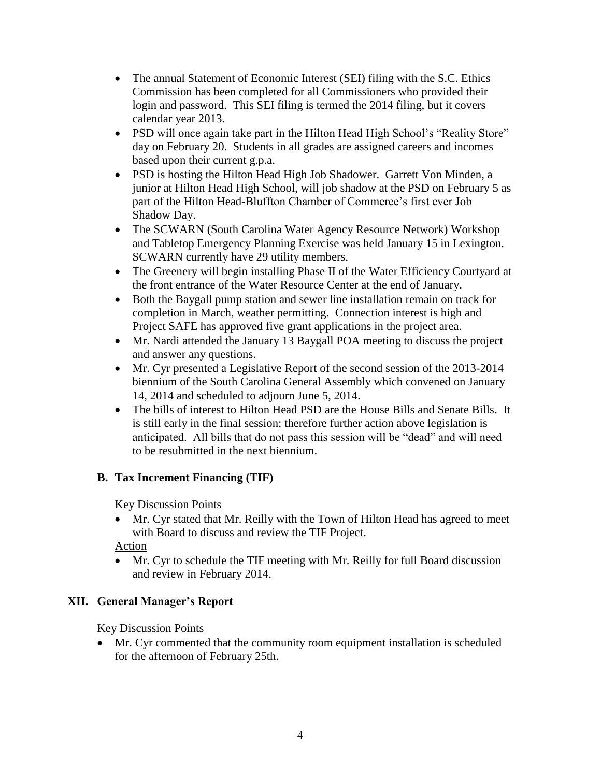- The annual Statement of Economic Interest (SEI) filing with the S.C. Ethics Commission has been completed for all Commissioners who provided their login and password. This SEI filing is termed the 2014 filing, but it covers calendar year 2013.
- PSD will once again take part in the Hilton Head High School's "Reality Store" day on February 20. Students in all grades are assigned careers and incomes based upon their current g.p.a.
- PSD is hosting the Hilton Head High Job Shadower. Garrett Von Minden, a junior at Hilton Head High School, will job shadow at the PSD on February 5 as part of the Hilton Head-Bluffton Chamber of Commerce's first ever Job Shadow Day.
- The SCWARN (South Carolina Water Agency Resource Network) Workshop and Tabletop Emergency Planning Exercise was held January 15 in Lexington. SCWARN currently have 29 utility members.
- The Greenery will begin installing Phase II of the Water Efficiency Courtyard at the front entrance of the Water Resource Center at the end of January.
- Both the Baygall pump station and sewer line installation remain on track for completion in March, weather permitting. Connection interest is high and Project SAFE has approved five grant applications in the project area.
- Mr. Nardi attended the January 13 Baygall POA meeting to discuss the project and answer any questions.
- Mr. Cyr presented a Legislative Report of the second session of the 2013-2014 biennium of the South Carolina General Assembly which convened on January 14, 2014 and scheduled to adjourn June 5, 2014.
- The bills of interest to Hilton Head PSD are the House Bills and Senate Bills. It is still early in the final session; therefore further action above legislation is anticipated. All bills that do not pass this session will be "dead" and will need to be resubmitted in the next biennium.

# **B. Tax Increment Financing (TIF)**

Key Discussion Points

 Mr. Cyr stated that Mr. Reilly with the Town of Hilton Head has agreed to meet with Board to discuss and review the TIF Project.

Action

 Mr. Cyr to schedule the TIF meeting with Mr. Reilly for full Board discussion and review in February 2014.

## **XII. General Manager's Report**

Key Discussion Points

 Mr. Cyr commented that the community room equipment installation is scheduled for the afternoon of February 25th.